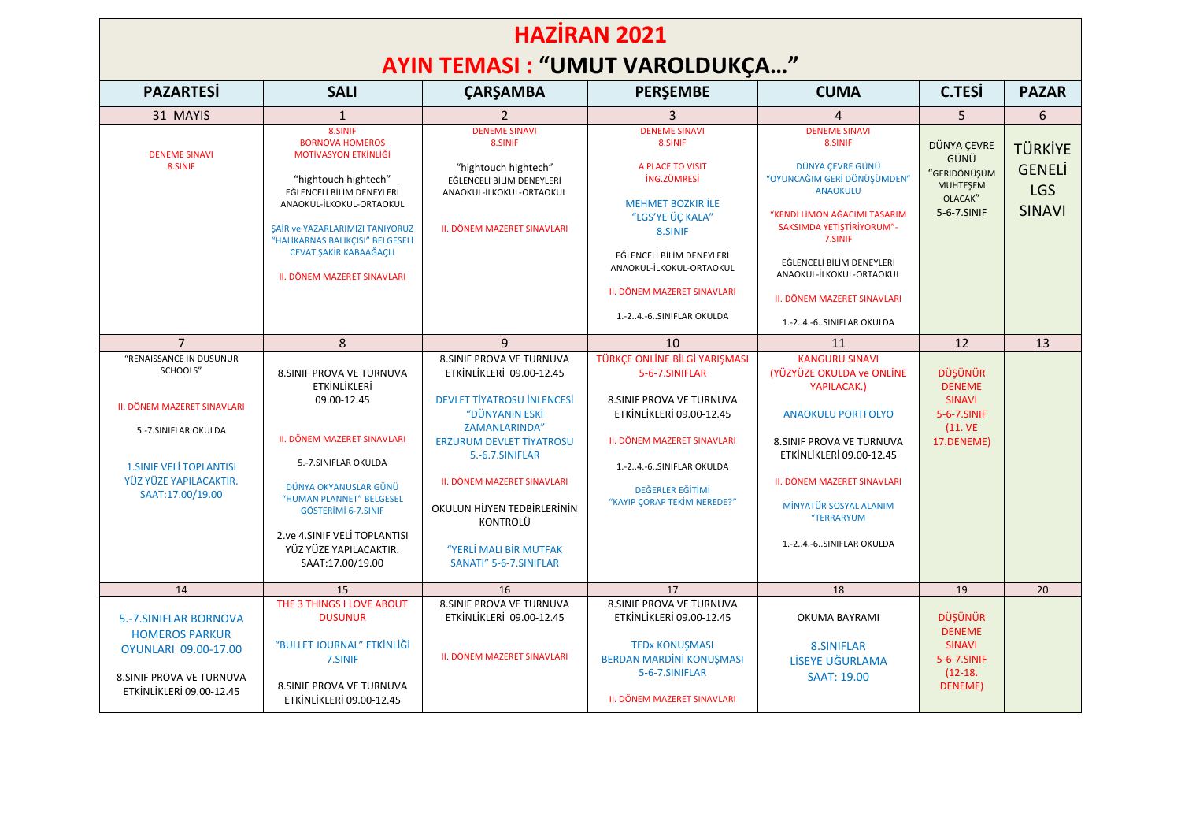## **HAZİRAN 2021 AYIN TEMASI : "UMUT VAROLDUKÇA…"**

| <b>PAZARTESI</b>                                                                                                                                                                   | <b>SALI</b>                                                                                                                                                                                                                                                                                     | <b>ÇARŞAMBA</b>                                                                                                                                                                                                                                                                                                                       | <b>PERSEMBE</b>                                                                                                                                                                                                                                                | <b>CUMA</b>                                                                                                                                                                                                                                                                                      | <b>C.TESI</b>                                                                     | <b>PAZAR</b>                                                   |
|------------------------------------------------------------------------------------------------------------------------------------------------------------------------------------|-------------------------------------------------------------------------------------------------------------------------------------------------------------------------------------------------------------------------------------------------------------------------------------------------|---------------------------------------------------------------------------------------------------------------------------------------------------------------------------------------------------------------------------------------------------------------------------------------------------------------------------------------|----------------------------------------------------------------------------------------------------------------------------------------------------------------------------------------------------------------------------------------------------------------|--------------------------------------------------------------------------------------------------------------------------------------------------------------------------------------------------------------------------------------------------------------------------------------------------|-----------------------------------------------------------------------------------|----------------------------------------------------------------|
| 31 MAYIS                                                                                                                                                                           | $\mathbf{1}$                                                                                                                                                                                                                                                                                    |                                                                                                                                                                                                                                                                                                                                       |                                                                                                                                                                                                                                                                | $\overline{4}$                                                                                                                                                                                                                                                                                   | 5                                                                                 | 6                                                              |
| <b>DENEME SINAVI</b><br>8.SINIF                                                                                                                                                    | 8.SINIF<br><b>BORNOVA HOMEROS</b><br><b>MOTİVASYON ETKİNLİĞİ</b><br>"hightouch hightech"<br>EĞLENCELİ BİLİM DENEYLERİ<br>ANAOKUL-İLKOKUL-ORTAOKUL<br>SAİR ve YAZARLARIMIZI TANIYORUZ<br>"HALİKARNAS BALIKÇISI" BELGESELİ<br><b>CEVAT SAKİR KABAAĞACLI</b><br><b>II. DÖNEM MAZERET SINAVLARI</b> | <b>DENEME SINAVI</b><br>8.SINIF<br>"hightouch hightech"<br>EĞLENCELİ BİLİM DENEYLERİ<br>ANAOKUL-İLKOKUL-ORTAOKUL<br>II. DÖNEM MAZERET SINAVLARI                                                                                                                                                                                       | <b>DENEME SINAVI</b><br>8.SINIF<br>A PLACE TO VISIT<br><b>ING.ZÜMRESİ</b><br><b>MEHMET BOZKIR İLE</b><br>"LGS'YE ÜÇ KALA"<br>8.SINIF<br>EĞLENCELİ BİLİM DENEYLERİ<br>ANAOKUL-İLKOKUL-ORTAOKUL<br><b>II. DÖNEM MAZERET SINAVLARI</b><br>1.-24.-6SINIFLAR OKULDA | <b>DENEME SINAVI</b><br>8.SINIF<br>DÜNYA ÇEVRE GÜNÜ<br>"OYUNCAĞIM GERİ DÖNÜŞÜMDEN"<br><b>ANAOKULU</b><br>"KENDİ LİMON AĞACIMI TASARIM<br>SAKSIMDA YETİŞTİRİYORUM"-<br>7.SINIF<br>EĞLENCELİ BİLİM DENEYLERİ<br>ANAOKUL-İLKOKUL-ORTAOKUL<br>II. DÖNEM MAZERET SINAVLARI<br>1.-24.-6SINIFLAR OKULDA | DÜNYA ÇEVRE<br>GÜNÜ<br>"GERİDÖNÜŞÜM<br>MUHTEŞEM<br>OLACAK"<br>5-6-7.SINIF         | <b>TÜRKİYE</b><br><b>GENELI</b><br><b>LGS</b><br><b>SINAVI</b> |
| $\overline{7}$                                                                                                                                                                     | 8                                                                                                                                                                                                                                                                                               | $\mathbf{q}$                                                                                                                                                                                                                                                                                                                          | 10                                                                                                                                                                                                                                                             | 11                                                                                                                                                                                                                                                                                               | 12                                                                                | 13                                                             |
| "RENAISSANCE IN DUSUNUR<br>SCHOOLS"<br><b>II. DÖNEM MAZERET SINAVLARI</b><br>5.-7.SINIFLAR OKULDA<br><b>1. SINIF VELI TOPLANTISI</b><br>YÜZ YÜZE YAPILACAKTIR.<br>SAAT:17.00/19.00 | 8. SINIF PROVA VE TURNUVA<br><b>ETKİNLİKLERİ</b><br>09.00-12.45<br>II. DÖNEM MAZERET SINAVLARI<br>5.-7.SINIFLAR OKULDA<br>DÜNYA OKYANUSLAR GÜNÜ<br>"HUMAN PLANNET" BELGESEL<br><b>GÖSTERİMİ 6-7.SINIF</b><br>2.ve 4.SINIF VELİ TOPLANTISI<br>YÜZ YÜZE YAPILACAKTIR.<br>SAAT:17.00/19.00         | <b>8.SINIF PROVA VE TURNUVA</b><br>ETKİNLİKLERİ 09.00-12.45<br><b>DEVLET TİYATROSU İNLENCESİ</b><br>"DÜNYANIN ESKİ<br><b>ZAMANLARINDA"</b><br><b>ERZURUM DEVLET TİYATROSU</b><br>5.-6.7.SINIFLAR<br><b>II. DÖNEM MAZERET SINAVLARI</b><br>OKULUN HİJYEN TEDBİRLERİNİN<br>KONTROLÜ<br>"YERLİ MALI BİR MUTFAK<br>SANATI" 5-6-7.SINIFLAR | TÜRKÇE ONLİNE BİLGİ YARIŞMASI<br>5-6-7.SINIFLAR<br><b>8. SINIF PROVA VE TURNUVA</b><br>ETKİNLİKLERİ 09.00-12.45<br><b>II. DÖNEM MAZERET SINAVLARI</b><br>1.-24.-6SINIFLAR OKULDA<br>DEĞERLER EĞİTİMİ<br>"KAYIP CORAP TEKİM NEREDE?"                            | <b>KANGURU SINAVI</b><br>(YÜZYÜZE OKULDA ve ONLİNE<br>YAPILACAK.)<br><b>ANAOKULU PORTFOLYO</b><br><b>8.SINIF PROVA VE TURNUVA</b><br>ETKİNLİKLERİ 09.00-12.45<br><b>II. DÖNEM MAZERET SINAVLARI</b><br>MİNYATÜR SOSYAL ALANIM<br>"TERRARYUM<br>1.-24.-6SINIFLAR OKULDA                           | DÜŞÜNÜR<br><b>DENEME</b><br><b>SINAVI</b><br>5-6-7.SINIF<br>(11.VE)<br>17.DENEME) |                                                                |
| 14                                                                                                                                                                                 | 15                                                                                                                                                                                                                                                                                              | 16                                                                                                                                                                                                                                                                                                                                    | 17                                                                                                                                                                                                                                                             | 18                                                                                                                                                                                                                                                                                               | 19                                                                                | 20                                                             |
| 5.-7.SINIFLAR BORNOVA<br><b>HOMEROS PARKUR</b><br>OYUNLARI 09.00-17.00<br><b>8. SINIF PROVA VE TURNUVA</b><br>ETKİNLİKLERİ 09.00-12.45                                             | THE 3 THINGS I LOVE ABOUT<br><b>DUSUNUR</b><br>"BULLET JOURNAL" ETKİNLİĞİ<br>7.SINIF<br><b>8.SINIF PROVA VE TURNUVA</b><br>ETKİNLİKLERİ 09.00-12.45                                                                                                                                             | 8. SINIF PROVA VE TURNUVA<br>ETKİNLİKLERİ 09.00-12.45<br>II. DÖNEM MAZERET SINAVLARI                                                                                                                                                                                                                                                  | 8. SINIF PROVA VE TURNUVA<br>ETKİNLİKLERİ 09.00-12.45<br><b>TEDx KONUŞMASI</b><br><b>BERDAN MARDÍNÍ KONUŞMASI</b><br>5-6-7.SINIFLAR<br>II. DÖNEM MAZERET SINAVLARI                                                                                             | OKUMA BAYRAMI<br>8.SINIFLAR<br>LİSEYE UĞURLAMA<br><b>SAAT: 19.00</b>                                                                                                                                                                                                                             | DÜŞÜNÜR<br><b>DENEME</b><br><b>SINAVI</b><br>5-6-7.SINIF<br>$(12-18.$<br>DENEME)  |                                                                |